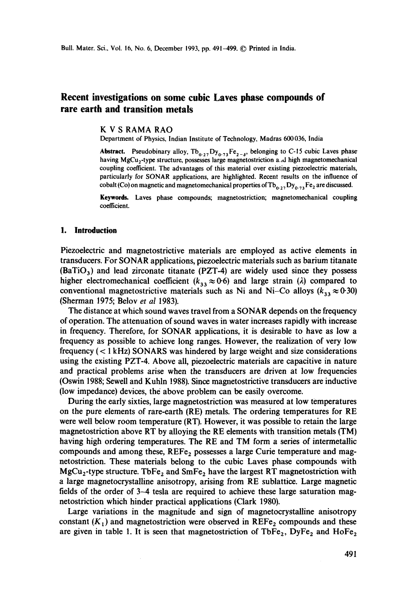# **Recent investigations on some cubic Laves phase compounds of rare earth and transition metals**

#### K V S RAMA RAO

Department of Physics, Indian Institute of Technology, Madras 600 036, India

Abstract. Pseudobinary alloy,  $Tb_{0.27}Dy_{0.73}Fe_{2.6}$ , belonging to C-15 cubic Laves phase having MgCu<sub>2</sub>-type structure, possesses large magnetostriction a.d high magnetomechanical coupling coefficient. The advantages of this material over existing piezoelectric materials, particularly for SONAR applications, are highlighted. Recent results on the influence of cobalt (Co) on magnetic and magnetomechanical properties of  $Tb_{0.27}Dy_{0.73}Fe_2$  are discussed.

**Keywords.** Laves phase compounds; magnetostriction; magnetomechanicai coupling coefficient.

### **1. Introduction**

Piezoelectric and magnetostrictive materials are employed as active elements in transducers. For SONAR applications, piezoelectric materials such as barium titanate  $(BaTiO<sub>3</sub>)$  and lead zirconate titanate (PZT-4) are widely used since they possess higher electromechanical coefficient ( $k_{33} \approx 0.6$ ) and large strain ( $\lambda$ ) compared to conventional magnetostrictive materials such as Ni and Ni-Co alloys ( $k_{33} \approx 0.30$ ) (Sherman 1975; Belov *et al* 1983).

The distance at which sound waves travel from a SONAR depends on the frequency of operation. The attenuation of sound waves in water increases rapidly with increase in frequency. Therefore, for SONAR applications, it is desirable to have as low a frequency as possible to achieve long ranges. However, the realization of very low frequency ( < 1 kHz) SONARS was hindered by large weight and size considerations using the existing PZT-4. Above all, piezoelectric materials are capacitive in nature and practical problems arise when the transducers are driven at low frequencies (Oswin 1988; Sewell and Kuhln 1988). Since magnetostrictive transducers are inductive (low impedance) devices, tbe above problem can be easily overcome.

During the early sixties, large magnetostriction was measured at low temperatures on the pure elements of rare-earth (RE) metals. The ordering temperatures for RE were well below room temperature (RT). However, it was possible to retain the large magnetostriction above RT by alloying the RE elements with transition metals (TM) having high ordering temperatures. The RE and TM form a series of intermetallic compounds and among these,  $REF_{2}$  possesses a large Curie temperature and magnetostriction. These materials belong to the cubic Laves phase compounds with MgCu<sub>2</sub>-type structure. TbFe<sub>2</sub> and SmFe<sub>2</sub> have the largest RT magnetostriction with a large magnetocrystalline anisotropy, arising from RE sublattice. Large magnetic fields of the order of 3-4 tesla are required to achieve these large saturation magnetostriction which hinder practical applications (Clark 1980).

Large variations in the magnitude and sign of magnetocrystalline anisotropy constant  $(K_1)$  and magnetostriction were observed in REFe<sub>2</sub> compounds and these are given in table 1. It is seen that magnetostriction of TbFe<sub>2</sub>, DyFe<sub>2</sub> and HoFe<sub>2</sub>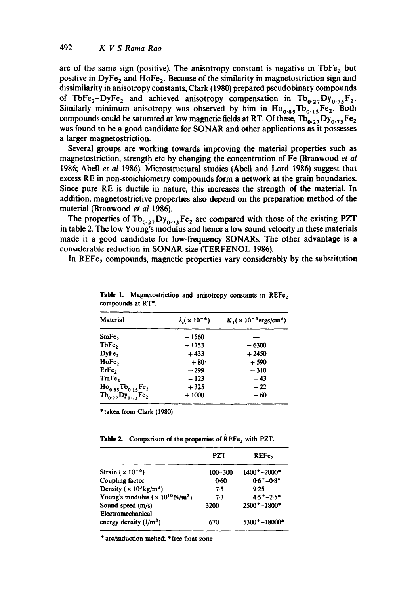are of the same sign (positive). The anisotropy constant is negative in  $\text{TbFe}_2$  but positive in DyFe, and HoFe,. Because of the similarity in magnetostriction sign and dissimilarity in anisotropy constants, Clark (1980) prepared pseudobinary compounds of TbFe<sub>2</sub>-DyFe<sub>2</sub> and achieved anisotropy compensation in Tb<sub>0.27</sub>Dy<sub>0.73</sub>F<sub>2</sub>. Similarly minimum anisotropy was observed by him in  $Ho_{0.85}Tb_{0.15}Fe_2$ . Both compounds could be saturated at low magnetic fields at RT. Of these,  $Tb_{0.27}Dy_{0.73}Fe_2$ was found to be a good candidate for SONAR and other applications as it possesses a larger magnetostriction.

Several groups are working towards improving the material properties such as magnetostriction, strength etc by changing the concentration of Fe (Branwood *et al* 1986; Abell *et al* 1986). Microstructural studies (Abell and Lord 1986) suggest that excess RE in non-stoichiometry compounds form a network at the grain boundaries. Since pure RE is ductile in nature, this increases the strength of the material. In addition, magnetostrictive properties also depend on the preparation method of the material (Branwood *et al* 1986).

The properties of  $Tb_{0.27}Dy_{0.73}Fe_2$  are compared with those of the existing PZT in table 2. The low Young's modulus and hence a low sound velocity in these materials made it a good candidate for low-frequency SONARs. The other advantage is a considerable reduction in SONAR size (TERFENOL 1986).

In REFe<sub>2</sub> compounds, magnetic properties vary considerably by the substitution

| Material                 | $\lambda_s (x 10^{-6})$ | $K_1(x)$ 10 <sup>-4</sup> ergs/cm <sup>3</sup> ) |
|--------------------------|-------------------------|--------------------------------------------------|
| SmFe,                    | $-1560$                 |                                                  |
| TbFe,                    | $+1753$                 | $-6300$                                          |
| DyFe,                    | $+433$                  | $+2450$                                          |
| HoFe,                    | $+80°$                  | $+590$                                           |
| ErFe,                    | $-299$                  | $-310$                                           |
| TmFe,                    | $-123$                  | $-43$                                            |
| $Ho_{0.85}Tb_{0.15}Fe_2$ | $+325$                  | $-22$                                            |
| $Tb_{0.27}Dy_{0.73}Fe_2$ | $+1000$                 | $-60$                                            |

Table 1. Magnetostriction and anisotropy constants in  $REF_{2}$ compounds at RT\*.

\* taken from Clark (1980)

Table 2. Comparison of the properties of REFe, with PZT.

|                                                        | PZT         | REFe,             |
|--------------------------------------------------------|-------------|-------------------|
| Strain $(x 10^{-6})$                                   | $100 - 300$ | $1400^+ - 2000^*$ |
| Coupling factor                                        | 0.60        | $0.6 + 0.8*$      |
| Density ( $\times$ 10 <sup>3</sup> kg/m <sup>3</sup> ) | 7.5         | 9.25              |
| Young's modulus ( $\times 10^{10}$ N/m <sup>2</sup> )  | 7.3         | $4.5 + -2.5*$     |
| Sound speed (m/s)                                      | 3200        | $2500 + -1800*$   |
| Electromechanical                                      |             |                   |
| energy density $(J/m^3)$                               | 670         | $5300 + -18000*$  |

+ arc/induction melted; \* free float zone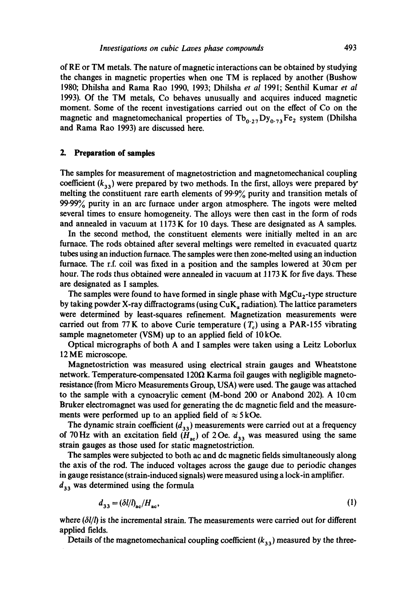of RE or TM metals. The nature of magnetic interactions can be obtained by studying the changes in magnetic properties when one TM is replaced by another (Bushow 1980; Dhilsha and Rama Rao 1990, 1993; Dhilsha *et ai* 1991; Senthil Kumar *et al*  1993). Of the TM metals, Co behaves unusually and acquires induced magnetic moment. Some of the recent investigations carried out on the effect of Co on the magnetic and magnetomechanical properties of  $Tb_{0.27}Dy_{0.73}Fe_2$  system (Dhilsha and Rama Rao 1993) are discussed here.

#### **2. Preparation of samples**

The samples for measurement of magnetostriction and magnetomechanical coupling coefficient  $(k_{33})$  were prepared by two methods. In the first, alloys were prepared by melting the constituent rare earth elements of 99.9% purity and transition metals of 99.99% purity in an arc furnace under argon atmosphere. The ingots were melted several times to ensure homogeneity. The alloys were then cast in the form of rods and annealed in vacuum at 1173 K for 10 days. These are designated as A samples.

In the second method, the constituent elements were initially melted in an arc furnace. The rods obtained after several meltings were remelted in evacuated quartz tubes using an induction furnace. The samples were then zone-melted using an induction furnace. The r.f. coil was fixed in a position and the samples lowered at  $30 \text{ cm}$  per hour. The rods thus obtained were annealed in vacuum at 1173 K for five days. These are designated as I samples.

The samples were found to have formed in single phase with  $MgCu<sub>2</sub>$ -type structure by taking powder X-ray diffractograms (using CuK~ radiation). The lattice parameters were determined by least-squares refinement. Magnetization measurements were carried out from 77 K to above Curie temperature  $(T<sub>c</sub>)$  using a PAR-155 vibrating sample magnetometer (VSM) up to an applied field of 10kOe.

Optical micrographs of both A and I samples were taken using a Leitz Loborlux 12 ME microscope.

Magnetostriction was measured using electrical strain gauges and Wheatstone network. Temperature-compensated 120 $\Omega$  Karma foil gauges with negligible magnetoresistance (from Micro Measurements Group, USA) were used. The gauge was attached to the sample with a cynoacrylic cement (M-bond 200 or Anabond 202). A 10cm Bruker electromagnet was used for generating the dc magnetic field and the measurements were performed up to an applied field of  $\approx$  5 kOe.

The dynamic strain coefficient  $(d_{33})$  measurements were carried out at a frequency of 70 Hz with an excitation field  $(H_{\infty})$  of 2 Oe.  $d_{33}$  was measured using the same strain gauges as those used for static magnetostriction.

The samples were subjected to both ac and dc magnetic fields simultaneously along the axis of the rod. The induced voltages across the gauge due to periodic changes in gauge resistance (strain-induced signals) were measured using a lock-in amplifier.  $d_{33}$  was determined using the formula

$$
d_{33} = (\delta l / l)_{ac} / H_{ac},\tag{1}
$$

where  $(\delta l/l)$  is the incremental strain. The measurements were carried out for different applied fields.

Details of the magnetomechanical coupling coefficient  $(k_{33})$  measured by the three-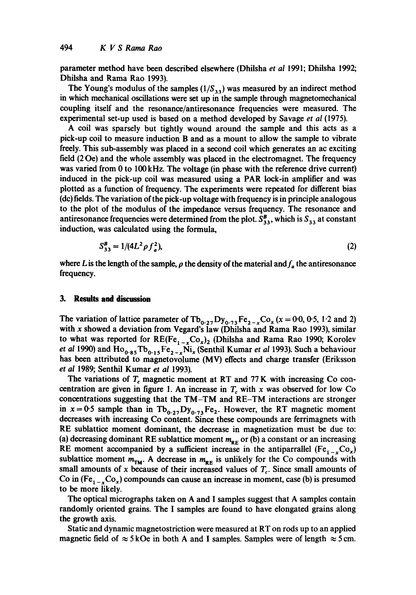parameter method have been described elsewhere (Dhilsha *et al* 1991; Dhilsha 1992; Dhilsha and Rama Rao 1993).

The Young's modulus of the samples  $(1/S_{33})$  was measured by an indirect method in which mechanical oscillations were set up in the sample through magnetomechanical coupling itself and the resonance/antiresonance frequencies were measured. The experimental set-up used is based on a method developed by Savage *et al* (1975).

A coil was sparsely but tightly wound around the sample and this acts as a pick-up coil to measure induction B and as a mount to allow the sample to vibrate freely. This sub-assembly was placed in a second coil which generates an ac exciting field (20e) and the whole assembly was placed in the electromagnet. The frequency was varied from 0 to 100 kHz. The voltage (in phase with the reference drive current) induced in the pick-up coil was measured using a PAR lock-in amplifier and was plotted as a function of frequency. The experiments were repeated for different bias (de) fields. The variation of the pick-up voltage with frequency is in principle analogous to the plot of the modulus of the impedance versus frequency. The resonance and antiresonance frequencies were determined from the plot.  $S_{33}^B$ , which is  $S_{33}$  at constant induction, was calculated using the formula,

$$
S_{33}^B = 1/(4L^2 \rho f_a^2),\tag{2}
$$

where L is the length of the sample,  $\rho$  the density of the material and  $f_a$  the antiresonance frequency.

#### 3. Results and discussion

The variation of lattice parameter of  $Tb_{0.27}Dy_{0.73}Fe_{2-x}Co_x (x = 0.0, 0.5, 1.2, 2.2)$ with x showed a deviation from Vegard's law (Dhilsha and Rama Rao 1993), similar to what was reported for  $RE(Fe_{1-x}Co_x)_2$  (Dhilsha and Rama Rao 1990; Korolev *et al* 1990) and  $Ho_{0.85}Tb_{0.15}Fe_{2-x}\tilde{Ni}_x$  (Senthil Kumar *et al* 1993). Such a behaviour has been attributed to magnetovolume (MV) effects and charge transfer (Eriksson *et al* 1989; Senthil Kumar *et al* 1993).

The variations of  $T_c$  magnetic moment at RT and 77 K with increasing Co concentration are given in figure 1. An increase in  $T_c$  with x was observed for low Co concentrations suggesting that the TM-TM and RE-TM interactions are stronger in  $x=0.5$  sample than in  $Tb_{0.27}Dy_{0.73}Fe_2$ . However, the RT magnetic moment decreases with increasing Co content. Since these compounds are ferrimagnets with RE sublattice moment dominant, the decrease in magnetization must be due to: (a) decreasing dominant RE sublattice moment  $m_{\text{RE}}$  or (b) a constant or an increasing RE moment accompanied by a sufficient increase in the antiparrallel (Fe<sub>1-x</sub>Co<sub>x</sub>) sublattice moment  $m_{TM}$ . A decrease in  $m_{RF}$  is unlikely for the Co compounds with small amounts of x because of their increased values of  $T_c$ . Since small amounts of Co in  $(Fe_{1-x}Co_x)$  compounds can cause an increase in moment, case (b) is presumed to be more likely.

The optical micrographs taken on A and I samples suggest that A samples contain randomly oriented grains. The I samples are found to have elongated grains along the growth axis.

Static and dynamic magnetostriction were measured at RT on rods up to an applied magnetic field of  $\approx$  5 kOe in both A and I samples. Samples were of length  $\approx$  5 cm.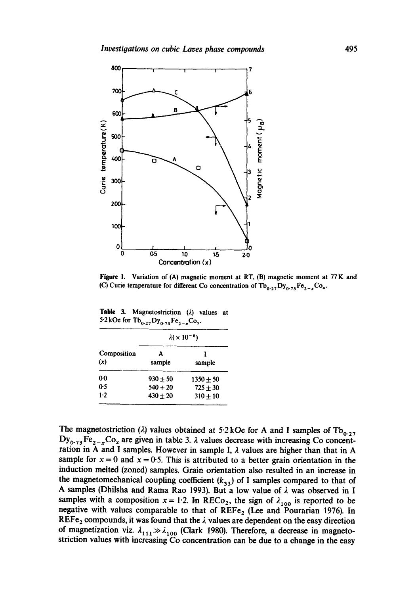

**Figure 1. Variation of (A) magnetic moment at RT, (B) magnetic moment at** 77 K **and**  (C) Curie temperature for different Co concentration of  $\text{Tb}_{0.27} \text{Dy}_{0.73} \text{Fe}_{2-x} \text{Co}_x$ .

Table 3. Magnetostriction ( $\lambda$ ) values at 5.2 kOe for  $Tb_{0.27}Dy_{0.73}Fe_{2-x}Co_x$ .

| Composition<br>(x) | $\lambda(x 10^{-6})$ |             |
|--------------------|----------------------|-------------|
|                    | A<br>sample          | sample      |
| 00                 | $930 + 50$           | $1350 + 50$ |
| 0.5                | $540 + 20$           | $725 + 30$  |
| $1-2$              | $430 + 20$           | $310 + 10$  |

The magnetostriction ( $\lambda$ ) values obtained at 5.2 kOe for A and I samples of  $\text{Tb}_{0.27}$  $Dy_{0.73}Fe_{2-x}Co_x$  are given in table 3.  $\lambda$  values decrease with increasing Co concentration in A and I samples. However in sample I,  $\lambda$  values are higher than that in A sample for  $x = 0$  and  $x = 0.5$ . This is attributed to a better grain orientation in the **induction melted (zoned) samples. Grain orientation also resulted in an increase in**  the magnetomechanical coupling coefficient  $(k_{33})$  of I samples compared to that of A samples (Dhilsha and Rama Rao 1993). But a low value of  $\lambda$  was observed in I samples with a composition  $x = 1.2$ . In RECo<sub>2</sub>, the sign of  $\lambda_{100}$  is reported to be negative with values comparable to that of REFe<sub>2</sub> (Lee and Pourarian 1976). In  $REF_{2}$  compounds, it was found that the  $\lambda$  values are dependent on the easy direction of magnetization viz.  $\lambda_{1,1} \gg \lambda_{1,00}$  (Clark 1980). Therefore, a decrease in magneto**striction values with increasing Co concentration can be due to a change in the easy**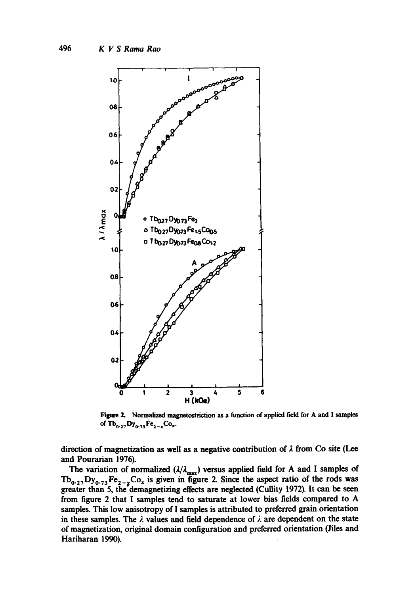

Figure 2. Normalized magnetostriction as a function of applied field for A and I samples of  $Tb_{0.27}Dy_{0.73}Fe_{2-x}Co_x$ .

direction of magnetization as well as a negative contribution of  $\lambda$  from Co site (Lee and Pourarian 1976).

The variation of normalized  $(\lambda/\lambda_{\text{max}})$  versus applied field for A and I samples of  $T_{\mathbf{b}_0, \gamma}$ ,  $\mathbf{Dy}_{0, \gamma}$ ,  $\mathbf{Fe}_{2-x}$ ,  $\mathbf{Co}_x$  is given in figure 2. Since the aspect ratio of the rods was greater than 5, the'demagnetizing effects are neglected (CuUity 1972). It can be seen from figure 2 that I samples tend to saturate at lower bias fields compared to A samples. This low anisotropy of I samples is attributed to preferred grain orientation in these samples. The  $\lambda$  values and field dependence of  $\lambda$  are dependent on the state of magnetization, original domain configuration and preferred orientation (1lies and Hariharan 1990).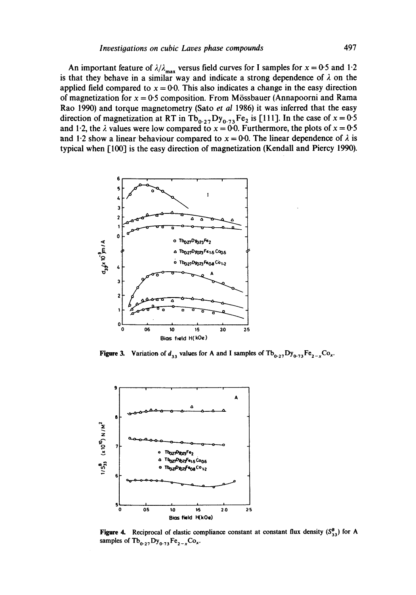An important feature of  $\lambda/\lambda_{\text{max}}$  versus field curves for I samples for  $x = 0.5$  and 1.2 is that they behave in a similar way and indicate a strong dependence of  $\lambda$  on the applied field compared to  $x = 0.0$ . This also indicates a change in the easy direction **of magnetization for x = 0.5 composition. From M6ssbauer (Annapoorni and Rama Rao 1990) and torque magnetometry (Sato** *et al* **1986) it was inferred that the easy**  direction of magnetization at RT in Tb<sub>0.27</sub>Dy<sub>0.73</sub>Fe<sub>2</sub> is [111]. In the case of  $x = 0.5$ and 1.2, the  $\lambda$  values were low compared to  $x = 0.0$ . Furthermore, the plots of  $x = 0.5$ and 1.2 show a linear behaviour compared to  $x = 0.0$ . The linear dependence of  $\lambda$  is **typical when [100] is the easy direction of magnetization (Kendall and Piercy 1990).** 



**Figure 3.** Variation of  $d_{33}$  values for A and I samples of  $Tb_{0.27}Dy_{0.73}Fe_{2-x}Co_{x}$ .



**Figure 4.** Reciprocal of elastic compliance constant at constant flux density  $(S^B_{33})$  for A samples of  $\text{Tb}_{0.27} \text{Dy}_{0.73} \text{Fe}_{2-x} \text{Co}_x$ .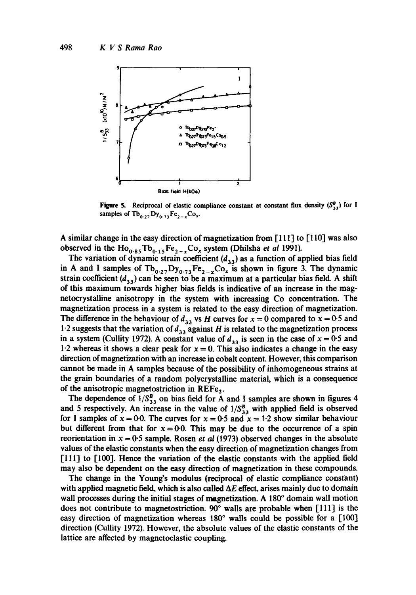

Figure 5. Reciprocal of elastic compliance constant at constant flux density  $(S^B_{33})$  for I samples of  $Tb_{0.2}$ ,  $Dy_{0.73}Fe_{2-x}Co_x$ .

A similar change in the easy direction of magnetization from [111] to [110] was also observed in the  $Ho_{0.85}Tb_{0.15}Fe_{2-x}Co_x$  system (Dhilsha *et al* 1991).

The variation of dynamic strain coefficient  $(d_{33})$  as a function of applied bias field in A and I samples of  $Tb_{0.27}Dy_{0.73}Fe_{2-x}Co_x$  is shown in figure 3. The dynamic strain coefficient  $(d_{33})$  can be seen to be a maximum at a particular bias field. A shift of this maximum towards higher bias fields is indicative of an increase in the magnetocrystalline anisotropy in the system with increasing Co concentration. The magnetization process in a system is related to the easy direction of magnetization. The difference in the behaviour of  $d_{33}$  vs H curves for  $x = 0$  compared to  $x = 0.5$  and 1.2 suggests that the variation of  $d_{33}$  against H is related to the magnetization process in a system (Cullity 1972). A constant value of  $d_{33}$  is seen in the case of  $x = 0.5$  and 1.2 whereas it shows a clear peak for  $x = 0$ . This also indicates a change in the easy direction of magnetization with an increase in cobalt content. However, this comparison cannot be made in A samples because of the possibility of inhomogeneous strains at the grain boundaries of a random polycrystalline material, which is a consequence of the anisotropic magnetostriction in REFe<sub>2</sub>.

The dependence of  $1/S_{33}^B$  on bias field for A and I samples are shown in figures 4 and 5 respectively. An increase in the value of  $1/S_{33}^B$  with applied field is observed for I samples of  $x = 0.0$ . The curves for  $x = 0.05$  and  $x = 1.2$  show similar behaviour but different from that for  $x = 0.0$ . This may be due to the occurrence of a spin reorientation in  $x = 0.5$  sample. Rosen *et al* (1973) observed changes in the absolute values of the elastic constants when the easy direction of magnetization changes from [111] to [100]. Hence the variation of the elastic constants with the applied field may also be dependent on the easy direction of magnetization in these compounds.

The change in the Young's modulus (reciprocal of elastic compliance constant) with applied magnetic field, which is also called  $\Delta E$  effect, arises mainly due to domain wall processes during the initial stages of magnetization. A  $180^\circ$  domain wall motion does not contribute to magnetostriction.  $90^{\circ}$  walls are probable when [111] is the easy direction of magnetization whereas  $180^\circ$  walls could be possible for a [100] direction (CuUity 1972). However, the absolute values of the elastic constants of the lattice are affected by magnetoelastic coupling.